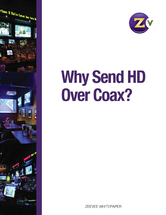



# **Why Send HD Over Coax?**

**ZEEVEE WHITEPAPER**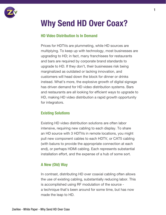

## Why Send HD Over Coax?

#### HD Video Distribution Is In Demand

Prices for HDTVs are plummeting, while HD sources are multiplying. To keep up with technology, most businesses are upgrading to HD; in fact, many franchisees for restaurants and bars are required by corporate brand standards to upgrade to HD. If they don't, their businesses risk being marginalized as outdated or lacking innovation, and customers will head down the block for dinner or drinks instead. What's more, the explosive growth of digital signage has driven demand for HD video distribution systems. Bars and restaurants are all looking for efficient ways to upgrade to HD, making HD video distribution a rapid growth opportunity for integrators.

#### Existing Solutions

Existing HD video distribution solutions are often labor intensive, requiring new cabling to each display. To share an HD source with 3 HDTVs in remote locations, you might pull new component cables to each HDTV, or CAT5 cabling (with baluns to provide the appropriate connection at each end), or perhaps HDMI cabling. Each represents substantial installation effort, and the expense of a hub of some sort.

#### A New (Old) Way

In contrast, distributing HD over coaxial cabling often allows the use of existing cabling, substantially reducing labor. This is accomplished using RF modulation of the source a technique that's been around for some time, but has now made the leap to HD.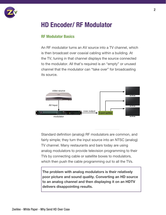

### HD Encoder/ RF Modulator

#### RF Modulator Basics

An RF modulator turns an AV source into a TV channel, which is then broadcast over coaxial cabling within a building. At the TV, tuning in that channel displays the source connected to the modulator. All that's required is an "empty" or unused channel that the modulator can "take over" for broadcasting its source.



Standard definition (analog) RF modulators are common, and fairly simple; they turn the input source into an NTSC (analog) TV channel. Many restaurants and bars today are using analog modulators to provide television programming to their TVs by connecting cable or satellite boxes to modulators, which then push the cable programming out to all the TVs.

The problem with analog modulators is their relatively poor picture and sound quality. Converting an HD source to an analog channel and then displaying it on an HDTV delivers disappointing results.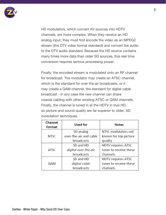

HD modulators, which convert AV sources into HDTV channels, are more complex. When they receive an HD analog input, they must first encode the video as an MPEG2 stream (the DTV video format standard) and convert the audio to the DTV audio standard. Because the HD source contains many times more data than older SD sources, this real time conversion requires serious processing power.

Finally, the encoded stream is modulated onto an RF channel for broadcast. The modulator may create an ATSC channel, which is the standard for over the air broadcasts, or it may create a QAM channel, the standard for digital cable broadcast - in any case the new channel can share coaxial cabling with other existing ATSC or QAM channels. Finally, the channel is tuned in at the HDTV in true HD, so picture and sound quality are far superior to older, SD modulation techniques.

| <b>Channel</b><br><b>Format</b> | <b>Used for</b>        | <b>Notes</b>              |
|---------------------------------|------------------------|---------------------------|
| <b>NTSC</b>                     | SD analog              | NTSC modulators not       |
|                                 | over-the-air and cable | known for top picture     |
|                                 | broadcasts             | quality                   |
| <b>ATSC</b>                     | SD and HD              | <b>HDTV requires ATSC</b> |
|                                 | digital over-the-air   | tuner to receive these    |
|                                 | broadcasts             | channels                  |
| QAM                             | SD and HD              | <b>HDTV requires ATSC</b> |
|                                 | digital cable          | tuner to receive these    |
|                                 | broadcasts             | channels                  |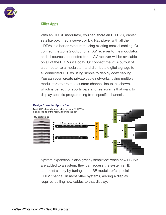

#### Killer Apps

With an HD RF modulator, you can share an HD DVR, cable/ satellite box, media server, or Blu Ray player with all the HDTVs in a bar or restaurant using existing coaxial cabling. Or connect the Zone 2 output of an AV receiver to the modulator, and all sources connected to the AV receiver will be available on all of the HDTVs via coax. Or connect the VGA output of a computer to a modulator, and distribute digital signage to all connected HDTVs using simple to deploy coax cabling. You can even create private cable networks, using multiple modulators to create a custom channel lineup, as shown, which is perfect for sports bars and restaurants that want to display specific programming from specific channels.



System expansion is also greatly simplified: when new HDTVs are added to a system, they can access the system's HD source(s) simply by tuning in the RF modulator's special HDTV channel. In most other systems, adding a display requires pulling new cables to that display.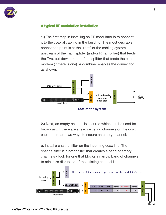

#### A typical RF modulation installation

1.) The first step in installing an RF modulator is to connect it to the coaxial cabling in the building. The most desirable connection point is at the "root" of the cabling system, upstream of the main splitter (and/or RF amplifier) that feeds the TVs, but downstream of the splitter that feeds the cable modem (if there is one). A combiner enables the connection, as shown.



2.) Next, an empty channel is secured which can be used for broadcast. If there are already existing channels on the coax cable, there are two ways to secure an empty channel:

a. Install a channel filter on the incoming coax line. The channel filter is a notch filter that creates a band of empty channels - look for one that blocks a narrow band of channels to minimize disruption of the existing channel lineup.



HDTVs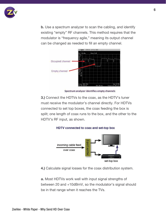

b. Use a spectrum analyzer to scan the cabling, and identify existing "empty" RF channels. This method requires that the modulator is "frequency agile," meaning its output channel can be changed as needed to fill an empty channel.



Spectrum analyzer identifies empty channels

3.) Connect the HDTVs to the coax, as the HDTV's tuner must receive the modulator's channel directly. For HDTVs connected to set top boxes, the coax feeding the box is split; one length of coax runs to the box, and the other to the HDTV's RF input, as shown.

#### HDTV connected to coax and set-top box



4.) Calculate signal losses for the coax distribution system.

a. Most HDTVs work well with input signal strengths of between 20 and +10dBmV, so the modulator's signal should be in that range when it reaches the TVs.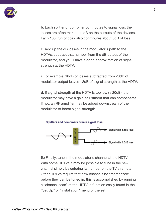

b. Each splitter or combiner contributes to signal loss; the losses are often marked in dB on the outputs of the devices. Each 100' run of coax also contributes about 3dB of loss.

c. Add up the dB losses in the modulator's path to the HDTVs, subtract that number from the dB output of the modulator, and you'll have a good approximation of signal strength at the HDTV.

i. For example, 18dB of losses subtracted from 20dB of modulator output leaves +2dB of signal strength at the HDTV.

d. If signal strength at the HDTV is too low (< 20dB), the modulator may have a gain adjustment that can compensate. If not, an RF amplifier may be added downstream of the modulator to boost signal strength.





5.) Finally, tune in the modulator's channel at the HDTV. With some HDTVs it may be possible to tune in the new channel simply by entering its number on the TV's remote. Other HDTVs require that new channels be "memorized" before they can be tuned in; this is accomplished by running a "channel scan" at the HDTV, a function easily found in the "Set Up" or "Installation" menu of the set.